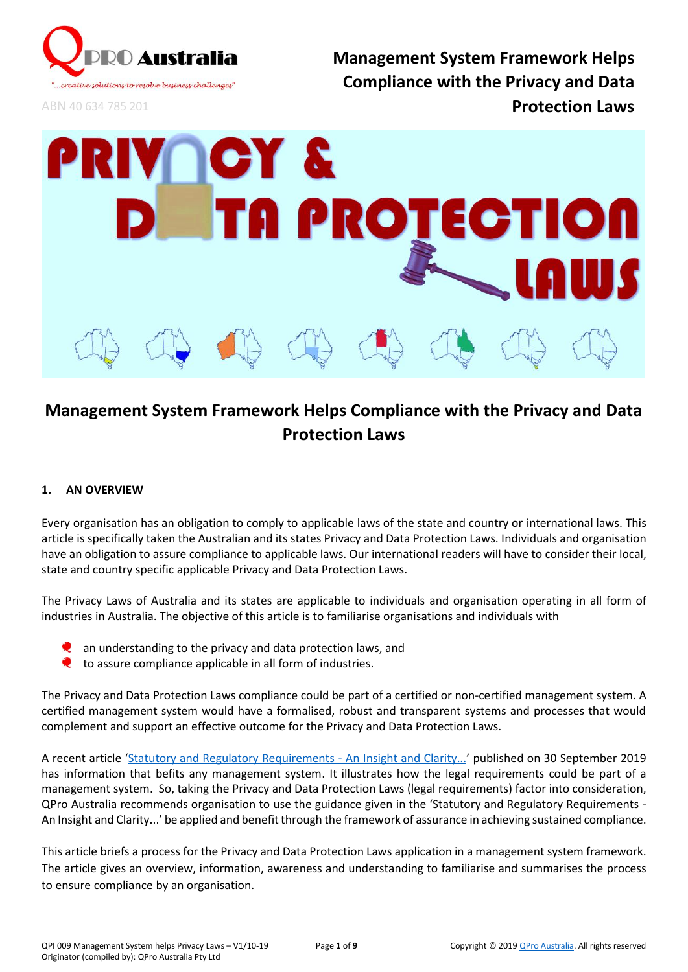

ABN 40 634 785 201

**Management System Framework Helps Compliance with the Privacy and Data Protection Laws**



# **Management System Framework Helps Compliance with the Privacy and Data Protection Laws**

# **1. AN OVERVIEW**

Every organisation has an obligation to comply to applicable laws of the state and country or international laws. This article is specifically taken the Australian and its states Privacy and Data Protection Laws. Individuals and organisation have an obligation to assure compliance to applicable laws. Our international readers will have to consider their local, state and country specific applicable Privacy and Data Protection Laws.

The Privacy Laws of Australia and its states are applicable to individuals and organisation operating in all form of industries in Australia. The objective of this article is to familiarise organisations and individuals with

- an understanding to the privacy and data protection laws, and
- to assure compliance applicable in all form of industries.

The Privacy and Data Protection Laws compliance could be part of a certified or non-certified management system. A certified management system would have a formalised, robust and transparent systems and processes that would complement and support an effective outcome for the Privacy and Data Protection Laws.

A recent article '[Statutory and Regulatory Requirements -](https://www.linkedin.com/pulse/statutory-regulatory-requirements-insight-clarity-wilson-fernandez/?trackingId=KxZWW09nXiSSGa0AEfVmHg%3D%3D) An Insight and Clarity...' published on 30 September 2019 has information that befits any management system. It illustrates how the legal requirements could be part of a management system. So, taking the Privacy and Data Protection Laws (legal requirements) factor into consideration, QPro Australia recommends organisation to use the guidance given in the 'Statutory and Regulatory Requirements - An Insight and Clarity...' be applied and benefit through the framework of assurance in achieving sustained compliance.

This article briefs a process for the Privacy and Data Protection Laws application in a management system framework. The article gives an overview, information, awareness and understanding to familiarise and summarises the process to ensure compliance by an organisation.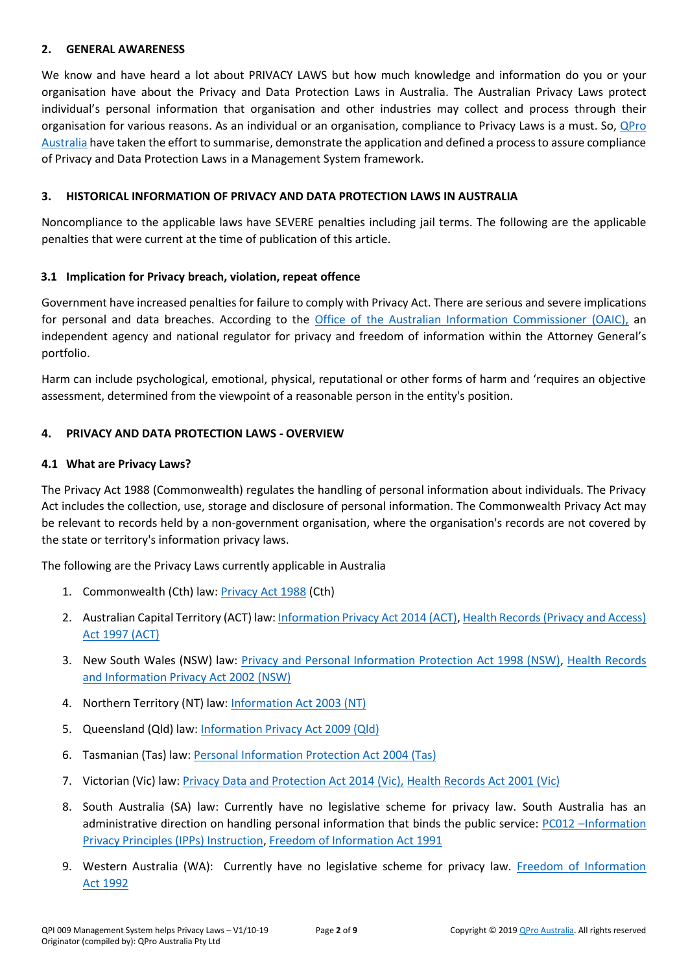#### **2. GENERAL AWARENESS**

We know and have heard a lot about PRIVACY LAWS but how much knowledge and information do you or your organisation have about the Privacy and Data Protection Laws in Australia. The Australian Privacy Laws protect individual's personal information that organisation and other industries may collect and process through their organisation for various reasons. As an individual or an organisation, compliance to Privacy Laws is a must. So, [QPro](https://www.qproaustralia.com.au/)  [Australia](https://www.qproaustralia.com.au/) have taken the effort to summarise, demonstrate the application and defined a process to assure compliance of Privacy and Data Protection Laws in a Management System framework.

## **3. HISTORICAL INFORMATION OF PRIVACY AND DATA PROTECTION LAWS IN AUSTRALIA**

Noncompliance to the applicable laws have SEVERE penalties including jail terms. The following are the applicable penalties that were current at the time of publication of this article.

## **3.1 Implication for Privacy breach, violation, repeat offence**

Government have increased penalties for failure to comply with Privacy Act. There are serious and severe implications for personal and data breaches. According to the [Office of the Australian Information Commissioner \(OAIC\),](https://www.oaic.gov.au/) an independent agency and national regulator for privacy and freedom of information within the Attorney General's portfolio.

Harm can include psychological, emotional, physical, reputational or other forms of harm and 'requires an objective assessment, determined from the viewpoint of a reasonable person in the entity's position.

## **4. PRIVACY AND DATA PROTECTION LAWS - OVERVIEW**

## **4.1 What are Privacy Laws?**

The Privacy Act 1988 (Commonwealth) regulates the handling of personal information about individuals. The Privacy Act includes the collection, use, storage and disclosure of personal information. The Commonwealth Privacy Act may be relevant to records held by a non-government organisation, where the organisation's records are not covered by the state or territory's information privacy laws.

The following are the Privacy Laws currently applicable in Australia

- 1. Commonwealth (Cth) law: [Privacy Act 1988](https://www.legislation.gov.au/Series/C2004A03712) (Cth)
- 2. Australian Capital Territory (ACT) law[: Information Privacy Act 2014 \(ACT\),](https://www.legislation.act.gov.au/a/2014-24/) [Health Records \(Privacy and Access\)](https://www.legislation.act.gov.au/a/1997-125/)  [Act 1997 \(ACT\)](https://www.legislation.act.gov.au/a/1997-125/)
- 3. New South Wales (NSW) law: [Privacy and Personal Information Protection Act 1998 \(NSW\),](https://www.legislation.nsw.gov.au/#/view/act/1998/133) [Health Records](https://www.legislation.nsw.gov.au/#/view/act/2002/71)  [and Information Privacy Act 2002 \(NSW\)](https://www.legislation.nsw.gov.au/#/view/act/2002/71)
- 4. Northern Territory (NT) law: [Information Act 2003 \(NT\)](https://legislation.nt.gov.au/Legislation/INFORMATION-ACT-2002)
- 5. Queensland (Qld) law: Information [Privacy Act 2009 \(Qld\)](https://www.legislation.qld.gov.au/view/html/inforce/current/act-2009-014)
- 6. Tasmanian (Tas) law: [Personal Information Protection Act 2004 \(Tas\)](https://www.legislation.tas.gov.au/view/html/inforce/current/act-2004-046)
- 7. Victorian (Vic) law: [Privacy Data and Protection Act 2014 \(Vic\),](http://www.legislation.vic.gov.au/Domino/Web_Notes/LDMS/PubStatbook.nsf/f932b66241ecf1b7ca256e92000e23be/05CC92B3F8CB6A6BCA257D4700209220/%24FILE/14-060aa%20authorised.pdf) [Health Records Act 2001 \(Vic\)](http://www.legislation.vic.gov.au/Domino/Web_Notes/LDMS/LTObject_Store/LTObjSt6.nsf/DDE300B846EED9C7CA257616000A3571/77FAA53ECDC0DA44CA2579030015D701/%24FILE/01-2aa023%20authorised.pdf)
- 8. South Australia (SA) law: Currently have no legislative scheme for privacy law. South Australia has an administrative direction on handling personal information that binds the public service: PC012 –Information [Privacy Principles \(IPPs\) Instruction,](https://dpc.sa.gov.au/resources-and-publications/premier-and-cabinet-circulars/DPC-Circular-Information-Privacy-Principles-IPPS-Instruction.pdf) [Freedom of Information Act](https://www.legislation.sa.gov.au/LZ/C/A/FREEDOM%20OF%20INFORMATION%20ACT%201991.aspx) 1991
- 9. Western Australia (WA): Currently have no legislative scheme for privacy law. [Freedom of Information](http://www8.austlii.edu.au/cgi-bin/viewdoc/au/legis/wa/consol_act/foia1992222/index.html)  Act [1992](http://www8.austlii.edu.au/cgi-bin/viewdoc/au/legis/wa/consol_act/foia1992222/index.html)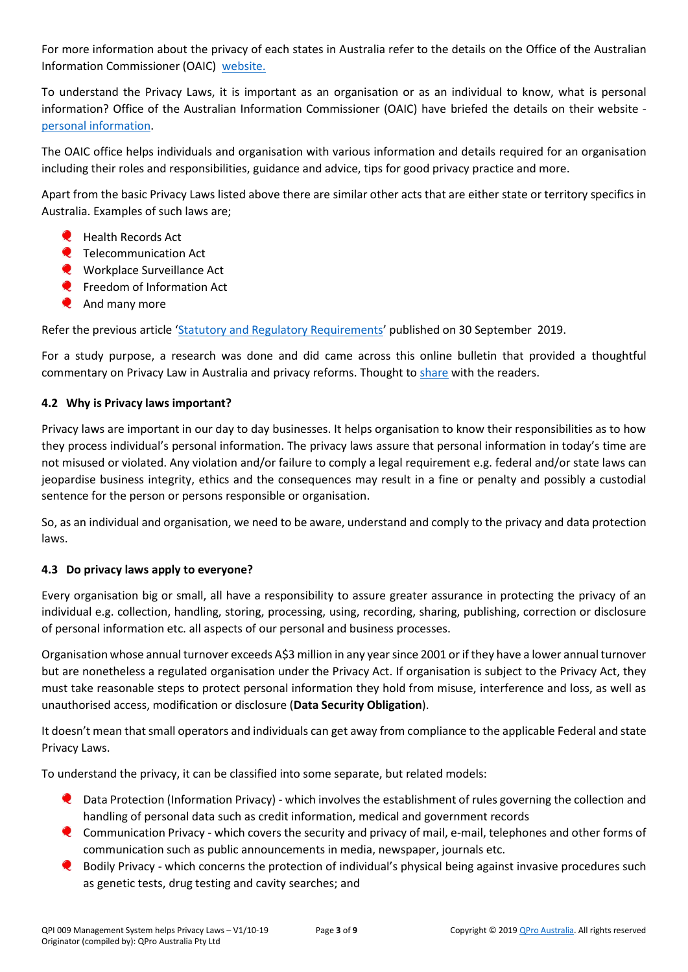For more information about the privacy of each states in Australia refer to the details on the Office of the Australian Information Commissioner (OAIC) [website.](https://www.oaic.gov.au/privacy/privacy-in-your-state/)

To understand the Privacy Laws, it is important as an organisation or as an individual to know, what is personal information? Office of the Australian Information Commissioner (OAIC) have briefed the details on their website [personal information.](https://www.oaic.gov.au/privacy/your-privacy-rights/your-personal-information/what-is-personal-information/)

The OAIC office helps individuals and organisation with various information and details required for an organisation including their roles and responsibilities, guidance and advice, tips for good privacy practice and more.

Apart from the basic Privacy Laws listed above there are similar other acts that are either state or territory specifics in Australia. Examples of such laws are;

- Health Records Act
- **Q** Telecommunication Act
- **Workplace Surveillance Act**
- **Q** Freedom of Information Act
- **And many more**

Refer the previous article '[Statutory and Regulatory Requirements](https://www.linkedin.com/pulse/statutory-regulatory-requirements-insight-clarity-wilson-fernandez/?trackingId=KxZWW09nXiSSGa0AEfVmHg%3D%3D)' published on 30 September 2019.

For a study purpose, a research was done and did came across this online bulletin that provided a thoughtful commentary on Privacy Law in Australia and privacy reforms. Thought to [share](http://classic.austlii.edu.au/au/journals/CommsLawB/2014/1.pdf) with the readers.

# **4.2 Why is Privacy laws important?**

Privacy laws are important in our day to day businesses. It helps organisation to know their responsibilities as to how they process individual's personal information. The privacy laws assure that personal information in today's time are not misused or violated. Any violation and/or failure to comply a legal requirement e.g. federal and/or state laws can jeopardise business integrity, ethics and the consequences may result in a fine or penalty and possibly a custodial sentence for the person or persons responsible or organisation.

So, as an individual and organisation, we need to be aware, understand and comply to the privacy and data protection laws.

# **4.3 Do privacy laws apply to everyone?**

Every organisation big or small, all have a responsibility to assure greater assurance in protecting the privacy of an individual e.g. collection, handling, storing, processing, using, recording, sharing, publishing, correction or disclosure of personal information etc. all aspects of our personal and business processes.

Organisation whose annual turnover exceeds A\$3 million in any year since 2001 or if they have a lower annual turnover but are nonetheless a regulated organisation under the Privacy Act. If organisation is subject to the Privacy Act, they must take reasonable steps to protect personal information they hold from misuse, interference and loss, as well as unauthorised access, modification or disclosure (**Data Security Obligation**).

It doesn't mean that small operators and individuals can get away from compliance to the applicable Federal and state Privacy Laws.

To understand the privacy, it can be classified into some separate, but related models:

- **Q** Data Protection (Information Privacy) which involves the establishment of rules governing the collection and handling of personal data such as credit information, medical and government records
- Communication Privacy which covers the security and privacy of mail, e-mail, telephones and other forms of communication such as public announcements in media, newspaper, journals etc.
- **Q** Bodily Privacy which concerns the protection of individual's physical being against invasive procedures such as genetic tests, drug testing and cavity searches; and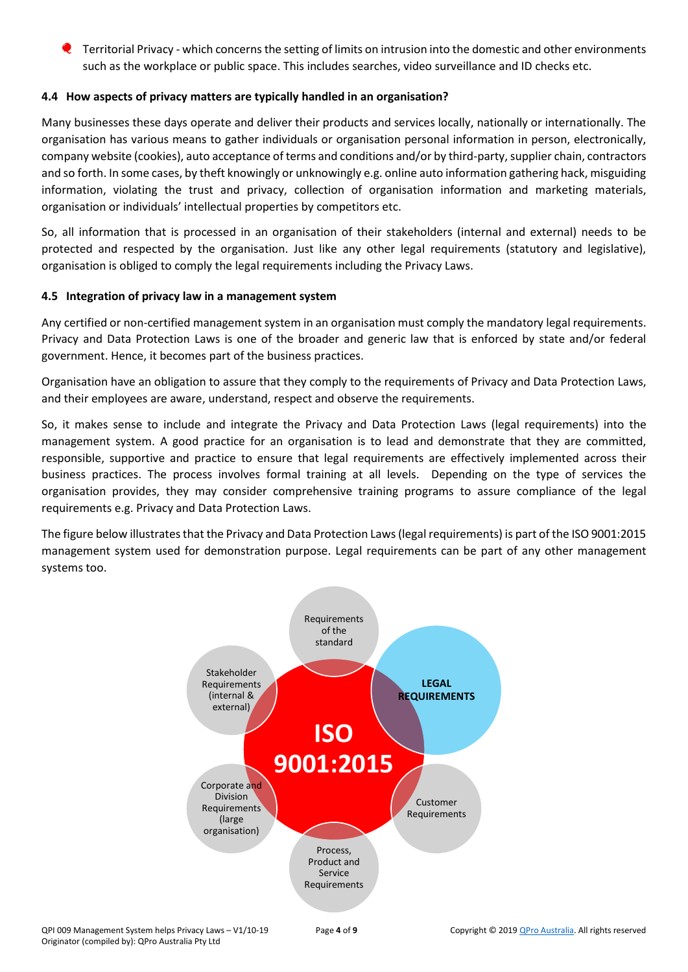$\bullet$  Territorial Privacy - which concerns the setting of limits on intrusion into the domestic and other environments such as the workplace or public space. This includes searches, video surveillance and ID checks etc.

## **4.4 How aspects of privacy matters are typically handled in an organisation?**

Many businesses these days operate and deliver their products and services locally, nationally or internationally. The organisation has various means to gather individuals or organisation personal information in person, electronically, company website (cookies), auto acceptance of terms and conditions and/or by third-party, supplier chain, contractors and so forth. In some cases, by theft knowingly or unknowingly e.g. online auto information gathering hack, misguiding information, violating the trust and privacy, collection of organisation information and marketing materials, organisation or individuals' intellectual properties by competitors etc.

So, all information that is processed in an organisation of their stakeholders (internal and external) needs to be protected and respected by the organisation. Just like any other legal requirements (statutory and legislative), organisation is obliged to comply the legal requirements including the Privacy Laws.

## **4.5 Integration of privacy law in a management system**

Any certified or non-certified management system in an organisation must comply the mandatory legal requirements. Privacy and Data Protection Laws is one of the broader and generic law that is enforced by state and/or federal government. Hence, it becomes part of the business practices.

Organisation have an obligation to assure that they comply to the requirements of Privacy and Data Protection Laws, and their employees are aware, understand, respect and observe the requirements.

So, it makes sense to include and integrate the Privacy and Data Protection Laws (legal requirements) into the management system. A good practice for an organisation is to lead and demonstrate that they are committed, responsible, supportive and practice to ensure that legal requirements are effectively implemented across their business practices. The process involves formal training at all levels. Depending on the type of services the organisation provides, they may consider comprehensive training programs to assure compliance of the legal requirements e.g. Privacy and Data Protection Laws.

The figure below illustrates that the Privacy and Data Protection Laws (legal requirements) is part of the ISO 9001:2015 management system used for demonstration purpose. Legal requirements can be part of any other management systems too.

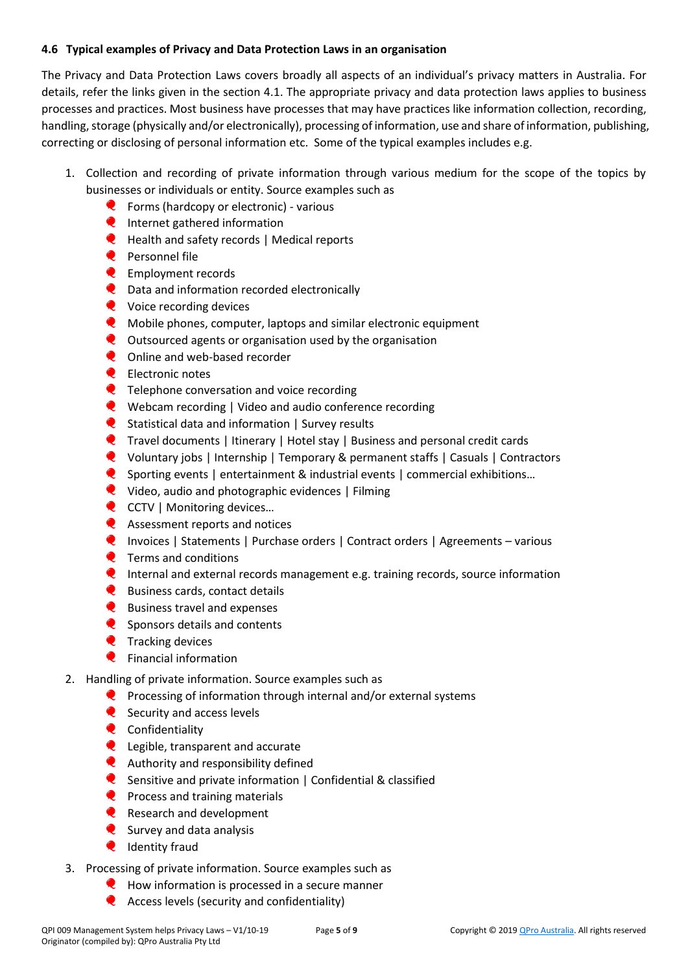## **4.6 Typical examples of Privacy and Data Protection Laws in an organisation**

The Privacy and Data Protection Laws covers broadly all aspects of an individual's privacy matters in Australia. For details, refer the links given in the section 4.1. The appropriate privacy and data protection laws applies to business processes and practices. Most business have processes that may have practices like information collection, recording, handling, storage (physically and/or electronically), processing of information, use and share of information, publishing, correcting or disclosing of personal information etc. Some of the typical examples includes e.g.

- 1. Collection and recording of private information through various medium for the scope of the topics by businesses or individuals or entity. Source examples such as
	- **C** Forms (hardcopy or electronic) various
	- **Q** Internet gathered information
	- **Q** Health and safety records | Medical reports
	- Personnel file
	- **Employment records**
	- **Q** Data and information recorded electronically
	- **Q** Voice recording devices
	- $\bullet$ Mobile phones, computer, laptops and similar electronic equipment
	- **Q** Outsourced agents or organisation used by the organisation
	- $\bullet$ Online and web-based recorder
	- **Electronic notes**
	- **Q** Telephone conversation and voice recording
	- Webcam recording | Video and audio conference recording
	- C Statistical data and information | Survey results
	- Travel documents | Itinerary | Hotel stay | Business and personal credit cards
	- Voluntary jobs | Internship | Temporary & permanent staffs | Casuals | Contractors
	- Sporting events | entertainment & industrial events | commercial exhibitions…
	- Video, audio and photographic evidences | Filming
	- **Q** CCTV | Monitoring devices...
	- **Q** Assessment reports and notices
	- Invoices | Statements | Purchase orders | Contract orders | Agreements various
	- **Q** Terms and conditions
	- **Q** Internal and external records management e.g. training records, source information
	- **Q** Business cards, contact details
	- **Q** Business travel and expenses
	- Sponsors details and contents
	- $\bullet$  Tracking devices
	- **Q** Financial information
- 2. Handling of private information. Source examples such as
	- $\bullet$  Processing of information through internal and/or external systems
	- Security and access levels
	- **Q** Confidentiality
	- **Q** Legible, transparent and accurate
	- **Q** Authority and responsibility defined
	- Sensitive and private information | Confidential & classified
	- **Process and training materials**
	- Research and development
	- $\bullet$  Survey and data analysis
	- **Q** Identity fraud
- 3. Processing of private information. Source examples such as
	- $\bullet$  How information is processed in a secure manner
	- **Access levels (security and confidentiality)**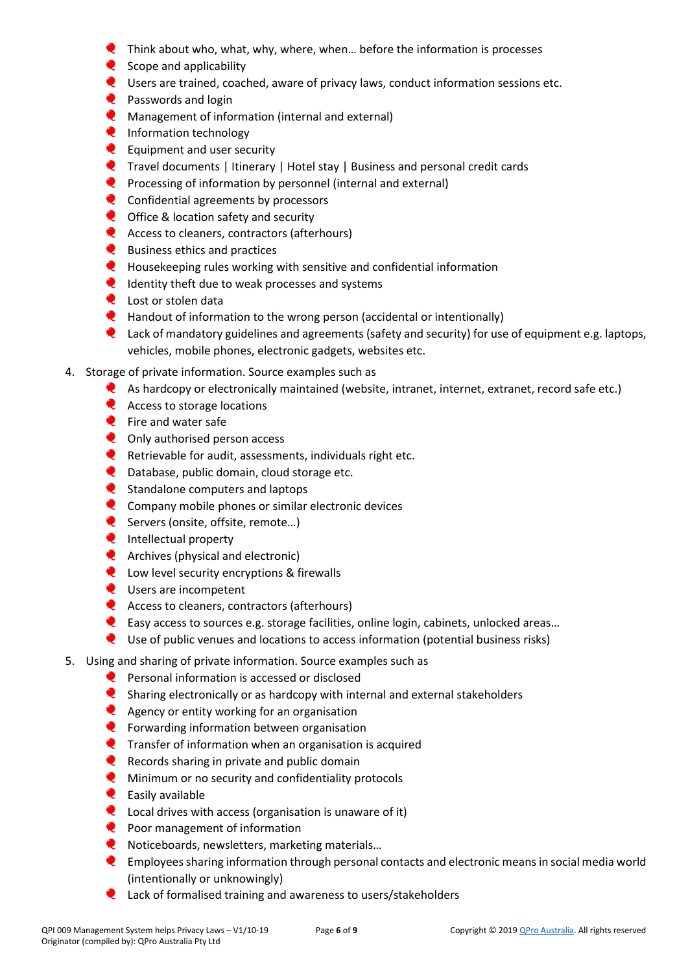- Think about who, what, why, where, when… before the information is processes
- $\bullet$  Scope and applicability
- Users are trained, coached, aware of privacy laws, conduct information sessions etc.
- **Q** Passwords and login
- **C** Management of information (internal and external)
- **Q** Information technology
- **E** Equipment and user security
- Travel documents | Itinerary | Hotel stay | Business and personal credit cards
- **Processing of information by personnel (internal and external)**
- **Q** Confidential agreements by processors
- **Q** Office & location safety and security
- **Q** Access to cleaners, contractors (afterhours)
- **Q** Business ethics and practices
- **Q** Housekeeping rules working with sensitive and confidential information
- **Q** Identity theft due to weak processes and systems
- **Q** Lost or stolen data
- $\bullet$  Handout of information to the wrong person (accidental or intentionally)
- **Q** Lack of mandatory guidelines and agreements (safety and security) for use of equipment e.g. laptops, vehicles, mobile phones, electronic gadgets, websites etc.
- 4. Storage of private information. Source examples such as
	- As hardcopy or electronically maintained (website, intranet, internet, extranet, record safe etc.)
	- **Q** Access to storage locations
	- **Q** Fire and water safe
	- **Q** Only authorised person access
	- Retrievable for audit, assessments, individuals right etc.
	- **Q** Database, public domain, cloud storage etc.
	- Standalone computers and laptops
	- Company mobile phones or similar electronic devices
	- Servers (onsite, offsite, remote...)
	- **Q** Intellectual property
	- **Q** Archives (physical and electronic)
	- **Q** Low level security encryptions & firewalls
	- **Q** Users are incompetent
	- **Q** Access to cleaners, contractors (afterhours)
	- Easy access to sources e.g. storage facilities, online login, cabinets, unlocked areas…
	- Use of public venues and locations to access information (potential business risks)
- 5. Using and sharing of private information. Source examples such as
	- **Q** Personal information is accessed or disclosed
	- **C** Sharing electronically or as hardcopy with internal and external stakeholders
	- **Q** Agency or entity working for an organisation
	- **Q** Forwarding information between organisation
	- **Q** Transfer of information when an organisation is acquired
	- $\bullet$  Records sharing in private and public domain
	- $\bullet$ Minimum or no security and confidentiality protocols
	- $\bullet$  Easily available
	- **Q** Local drives with access (organisation is unaware of it)
	- **Q** Poor management of information
	- C Noticeboards, newsletters, marketing materials...
	- Employees sharing information through personal contacts and electronic means in social media world (intentionally or unknowingly)
	- **Q** Lack of formalised training and awareness to users/stakeholders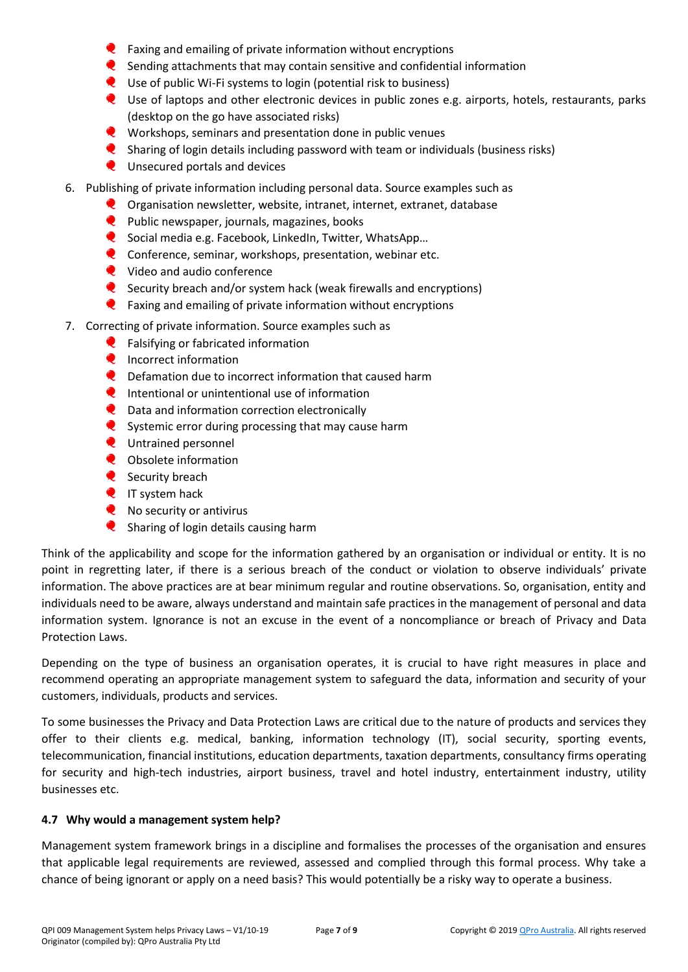- $\bullet$  Faxing and emailing of private information without encryptions
- $\bullet$  Sending attachments that may contain sensitive and confidential information
- Use of public Wi-Fi systems to login (potential risk to business)
- Use of laptops and other electronic devices in public zones e.g. airports, hotels, restaurants, parks (desktop on the go have associated risks)
- Workshops, seminars and presentation done in public venues
- $\bullet$ Sharing of login details including password with team or individuals (business risks)
- **Q** Unsecured portals and devices
- 6. Publishing of private information including personal data. Source examples such as
	- **Q** Organisation newsletter, website, intranet, internet, extranet, database
	- $\bullet$  Public newspaper, journals, magazines, books
	- C Social media e.g. Facebook, LinkedIn, Twitter, WhatsApp...
	- **C** Conference, seminar, workshops, presentation, webinar etc.
	- **Q** Video and audio conference
	- Security breach and/or system hack (weak firewalls and encryptions)
	- $\bullet$  Faxing and emailing of private information without encryptions
- 7. Correcting of private information. Source examples such as
	- **C** Falsifying or fabricated information
	- **Q** Incorrect information
	- $\bullet$ Defamation due to incorrect information that caused harm
	- $\bullet$  Intentional or unintentional use of information
	- $\bullet$ Data and information correction electronically
	- Systemic error during processing that may cause harm
	- **Q** Untrained personnel
	- $\bullet$ Obsolete information
	- Security breach
	- **Q** IT system hack
	- **Q** No security or antivirus
	- $\bullet$ Sharing of login details causing harm

Think of the applicability and scope for the information gathered by an organisation or individual or entity. It is no point in regretting later, if there is a serious breach of the conduct or violation to observe individuals' private information. The above practices are at bear minimum regular and routine observations. So, organisation, entity and individuals need to be aware, always understand and maintain safe practices in the management of personal and data information system. Ignorance is not an excuse in the event of a noncompliance or breach of Privacy and Data Protection Laws.

Depending on the type of business an organisation operates, it is crucial to have right measures in place and recommend operating an appropriate management system to safeguard the data, information and security of your customers, individuals, products and services.

To some businesses the Privacy and Data Protection Laws are critical due to the nature of products and services they offer to their clients e.g. medical, banking, information technology (IT), social security, sporting events, telecommunication, financial institutions, education departments, taxation departments, consultancy firms operating for security and high-tech industries, airport business, travel and hotel industry, entertainment industry, utility businesses etc.

#### **4.7 Why would a management system help?**

Management system framework brings in a discipline and formalises the processes of the organisation and ensures that applicable legal requirements are reviewed, assessed and complied through this formal process. Why take a chance of being ignorant or apply on a need basis? This would potentially be a risky way to operate a business.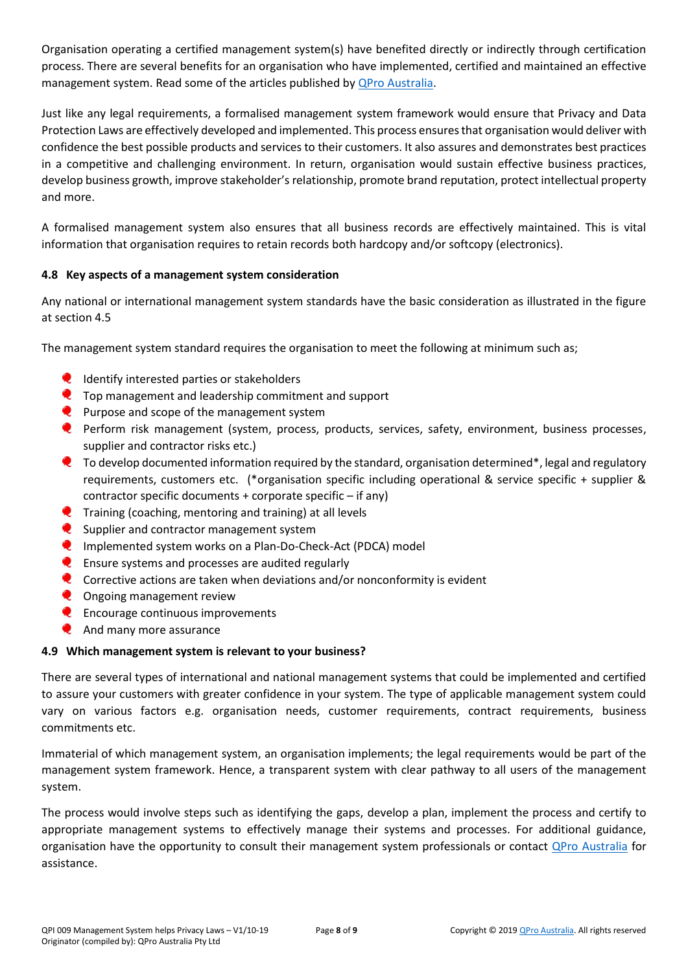Organisation operating a certified management system(s) have benefited directly or indirectly through certification process. There are several benefits for an organisation who have implemented, certified and maintained an effective management system. Read some of the articles published by [QPro Australia.](https://www.qproaustralia.com.au/ms-information.html)

Just like any legal requirements, a formalised management system framework would ensure that Privacy and Data Protection Laws are effectively developed and implemented. This process ensures that organisation would deliver with confidence the best possible products and services to their customers. It also assures and demonstrates best practices in a competitive and challenging environment. In return, organisation would sustain effective business practices, develop business growth, improve stakeholder's relationship, promote brand reputation, protect intellectual property and more.

A formalised management system also ensures that all business records are effectively maintained. This is vital information that organisation requires to retain records both hardcopy and/or softcopy (electronics).

# **4.8 Key aspects of a management system consideration**

Any national or international management system standards have the basic consideration as illustrated in the figure at section 4.5

The management system standard requires the organisation to meet the following at minimum such as;

- $\bullet$  Identify interested parties or stakeholders
- **Q** Top management and leadership commitment and support
- $\bullet$  Purpose and scope of the management system
- Perform risk management (system, process, products, services, safety, environment, business processes, supplier and contractor risks etc.)
- $\bullet$  To develop documented information required by the standard, organisation determined\*, legal and regulatory requirements, customers etc. (\*organisation specific including operational & service specific + supplier & contractor specific documents + corporate specific – if any)
- $\bullet$  Training (coaching, mentoring and training) at all levels
- Supplier and contractor management system
- **Q** Implemented system works on a Plan-Do-Check-Act (PDCA) model
- **C** Ensure systems and processes are audited regularly
- **Q** Corrective actions are taken when deviations and/or nonconformity is evident
- **Q** Ongoing management review
- $\bullet$  Encourage continuous improvements
- **And many more assurance**

#### **4.9 Which management system is relevant to your business?**

There are several types of international and national management systems that could be implemented and certified to assure your customers with greater confidence in your system. The type of applicable management system could vary on various factors e.g. organisation needs, customer requirements, contract requirements, business commitments etc.

Immaterial of which management system, an organisation implements; the legal requirements would be part of the management system framework. Hence, a transparent system with clear pathway to all users of the management system.

The process would involve steps such as identifying the gaps, develop a plan, implement the process and certify to appropriate management systems to effectively manage their systems and processes. For additional guidance, organisation have the opportunity to consult their management system professionals or contact *QPro Australia* for assistance.